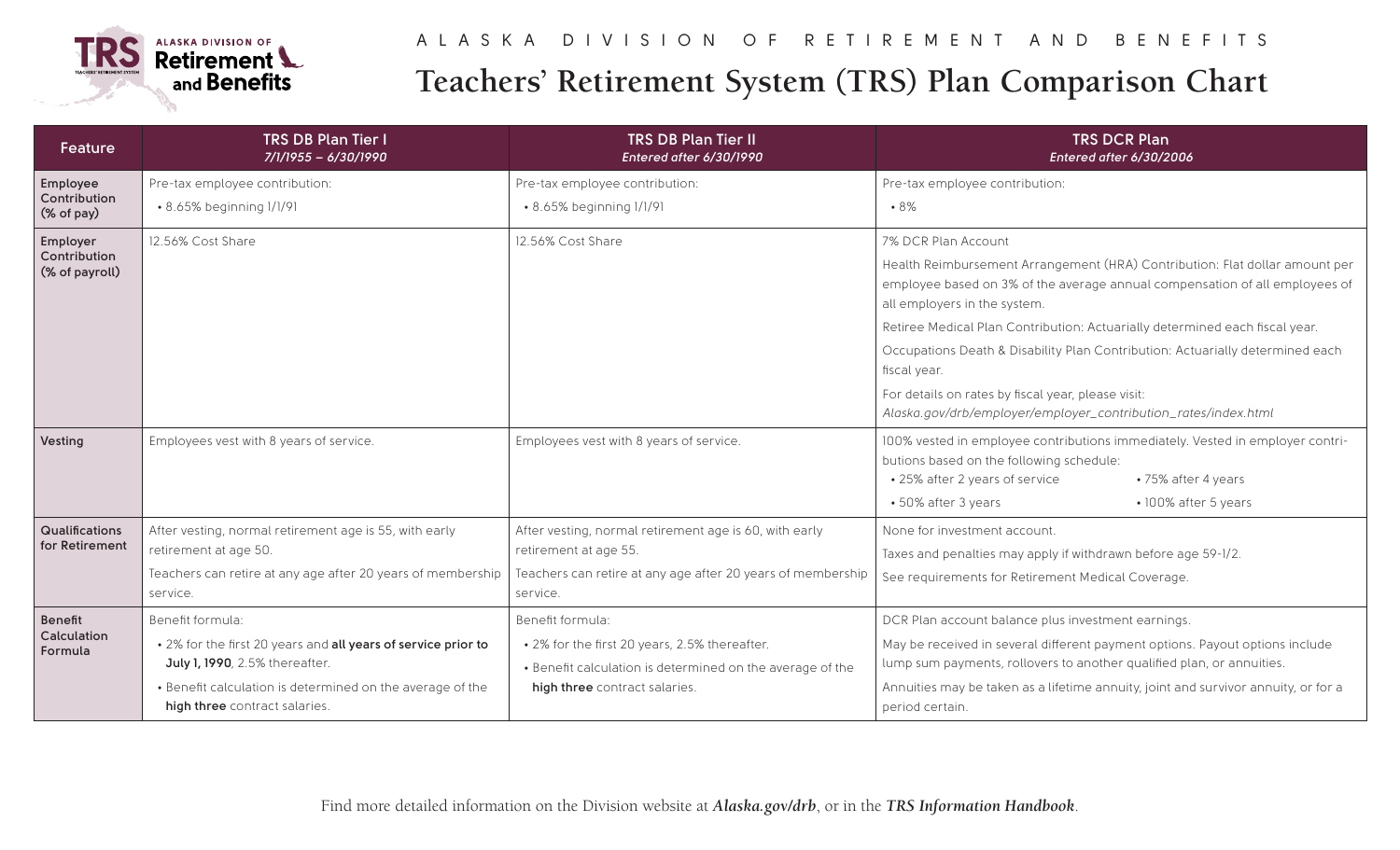

## **Teachers' Retirement System (TRS) Plan Comparison Chart**

| <b>Feature</b>                             | <b>TRS DB Plan Tier I</b><br>7/1/1955 - 6/30/1990                                                                                                                                                                 | <b>TRS DB Plan Tier II</b><br>Entered after 6/30/1990                                                                                                           | <b>TRS DCR Plan</b><br>Entered after 6/30/2006                                                                                                                                                                                                                                                                                                                                                                                                                                                                            |
|--------------------------------------------|-------------------------------------------------------------------------------------------------------------------------------------------------------------------------------------------------------------------|-----------------------------------------------------------------------------------------------------------------------------------------------------------------|---------------------------------------------------------------------------------------------------------------------------------------------------------------------------------------------------------------------------------------------------------------------------------------------------------------------------------------------------------------------------------------------------------------------------------------------------------------------------------------------------------------------------|
| Employee<br>Contribution<br>(% of pay)     | Pre-tax employee contribution:                                                                                                                                                                                    | Pre-tax employee contribution:                                                                                                                                  | Pre-tax employee contribution:                                                                                                                                                                                                                                                                                                                                                                                                                                                                                            |
|                                            | • 8.65% beginning 1/1/91                                                                                                                                                                                          | • 8.65% beginning 1/1/91                                                                                                                                        | •8%                                                                                                                                                                                                                                                                                                                                                                                                                                                                                                                       |
| Employer<br>Contribution<br>(% of payroll) | 12.56% Cost Share                                                                                                                                                                                                 | 12.56% Cost Share                                                                                                                                               | 7% DCR Plan Account<br>Health Reimbursement Arrangement (HRA) Contribution: Flat dollar amount per<br>employee based on 3% of the average annual compensation of all employees of<br>all employers in the system.<br>Retiree Medical Plan Contribution: Actuarially determined each fiscal year.<br>Occupations Death & Disability Plan Contribution: Actuarially determined each<br>fiscal year.<br>For details on rates by fiscal year, please visit:<br>Alaska.gov/drb/employer/employer_contribution_rates/index.html |
| Vesting                                    | Employees vest with 8 years of service.                                                                                                                                                                           | Employees vest with 8 years of service.                                                                                                                         | 100% vested in employee contributions immediately. Vested in employer contri-<br>butions based on the following schedule:<br>• 25% after 2 years of service<br>•75% after 4 years<br>• 50% after 3 years<br>· 100% after 5 years                                                                                                                                                                                                                                                                                          |
| Qualifications<br>for Retirement           | After vesting, normal retirement age is 55, with early<br>retirement at age 50.<br>Teachers can retire at any age after 20 years of membership<br>service.                                                        | After vesting, normal retirement age is 60, with early<br>retirement at age 55.<br>Teachers can retire at any age after 20 years of membership<br>service.      | None for investment account.<br>Taxes and penalties may apply if withdrawn before age 59-1/2.<br>See requirements for Retirement Medical Coverage.                                                                                                                                                                                                                                                                                                                                                                        |
| Benefit<br>Calculation<br>Formula          | Benefit formula:<br>. 2% for the first 20 years and all years of service prior to<br>July 1, 1990, 2.5% thereafter.<br>• Benefit calculation is determined on the average of the<br>high three contract salaries. | Benefit formula:<br>• 2% for the first 20 years, 2.5% thereafter.<br>• Benefit calculation is determined on the average of the<br>high three contract salaries. | DCR Plan account balance plus investment earnings.<br>May be received in several different payment options. Payout options include<br>lump sum payments, rollovers to another qualified plan, or annuities.<br>Annuities may be taken as a lifetime annuity, joint and survivor annuity, or for a<br>period certain.                                                                                                                                                                                                      |